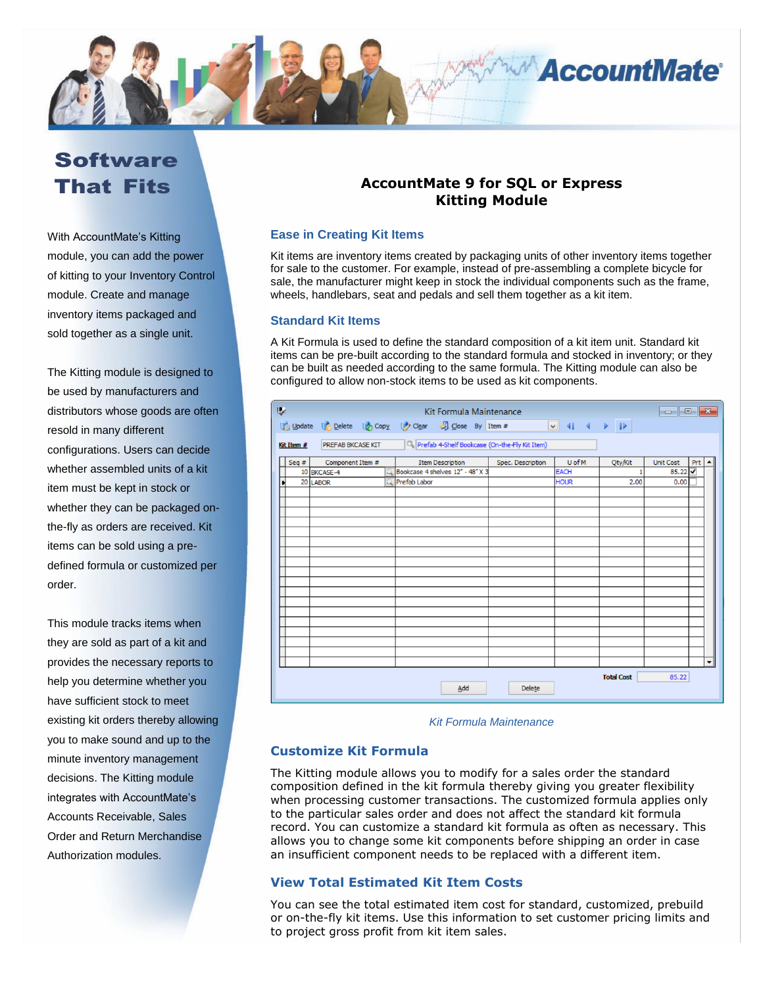

# **Software** That Fits

With AccountMate's Kitting module, you can add the power of kitting to your Inventory Control module. Create and manage inventory items packaged and sold together as a single unit.

The Kitting module is designed to be used by manufacturers and distributors whose goods are often resold in many different configurations. Users can decide whether assembled units of a kit item must be kept in stock or whether they can be packaged onthe-fly as orders are received. Kit items can be sold using a predefined formula or customized per order.

This module tracks items when they are sold as part of a kit and provides the necessary reports to help you determine whether you have sufficient stock to meet existing kit orders thereby allowing you to make sound and up to the minute inventory management decisions. The Kitting module integrates with AccountMate's Accounts Receivable, Sales Order and Return Merchandise Authorization modules.

# **AccountMate 9 for SQL or Express Kitting Module**

# **Ease in Creating Kit Items**

Kit items are inventory items created by packaging units of other inventory items together for sale to the customer. For example, instead of pre-assembling a complete bicycle for sale, the manufacturer might keep in stock the individual components such as the frame, wheels, handlebars, seat and pedals and sell them together as a kit item.

# **Standard Kit Items**

A Kit Formula is used to define the standard composition of a kit item unit. Standard kit items can be pre-built according to the standard formula and stocked in inventory; or they can be built as needed according to the same formula. The Kitting module can also be configured to allow non-stock items to be used as kit components.

| ly.                                                                                     |                      |                  | Kit Formula Maintenance |                         |                                            |                   |             |         |                                  |     |                          |  |
|-----------------------------------------------------------------------------------------|----------------------|------------------|-------------------------|-------------------------|--------------------------------------------|-------------------|-------------|---------|----------------------------------|-----|--------------------------|--|
|                                                                                         |                      |                  |                         |                         | Update Colete Copy Clear J Close By Item # |                   |             |         |                                  |     |                          |  |
| Prefab 4-Shelf Bookcase (On-the-Fly Kit Item)<br><b>PREFAB BKCASE KIT</b><br>Kit Item # |                      |                  |                         |                         |                                            |                   |             |         |                                  |     |                          |  |
|                                                                                         | Seq $#$              | Component Item # |                         | <b>Item Description</b> |                                            | Spec. Description | U of M      | Qty/Kit | <b>Unit Cost</b>                 | Prt |                          |  |
|                                                                                         |                      | 10 BKCASE-4      | С                       |                         | Bookcase 4 shelves 12" - 48" X 3           |                   | <b>EACH</b> |         | 85.22 $\overline{\triangledown}$ |     |                          |  |
| Ы                                                                                       |                      | 20 LABOR         |                         | Prefab Labor            |                                            |                   | <b>HOUR</b> | 2.00    | 0.00                             |     |                          |  |
|                                                                                         |                      |                  |                         |                         |                                            |                   |             |         |                                  |     |                          |  |
|                                                                                         |                      |                  |                         |                         |                                            |                   |             |         |                                  |     |                          |  |
|                                                                                         |                      |                  |                         |                         |                                            |                   |             |         |                                  |     |                          |  |
|                                                                                         |                      |                  |                         |                         |                                            |                   |             |         |                                  |     |                          |  |
|                                                                                         |                      |                  |                         |                         |                                            |                   |             |         |                                  |     |                          |  |
|                                                                                         |                      |                  |                         |                         |                                            |                   |             |         |                                  |     |                          |  |
|                                                                                         |                      |                  |                         |                         |                                            |                   |             |         |                                  |     |                          |  |
|                                                                                         |                      |                  |                         |                         |                                            |                   |             |         |                                  |     |                          |  |
|                                                                                         |                      |                  |                         |                         |                                            |                   |             |         |                                  |     |                          |  |
|                                                                                         |                      |                  |                         |                         |                                            |                   |             |         |                                  |     |                          |  |
|                                                                                         |                      |                  |                         |                         |                                            |                   |             |         |                                  |     |                          |  |
|                                                                                         |                      |                  |                         |                         |                                            |                   |             |         |                                  |     |                          |  |
|                                                                                         |                      |                  |                         |                         |                                            |                   |             |         |                                  |     |                          |  |
|                                                                                         |                      |                  |                         |                         |                                            |                   |             |         |                                  |     |                          |  |
|                                                                                         |                      |                  |                         |                         |                                            |                   |             |         |                                  |     |                          |  |
|                                                                                         |                      |                  |                         |                         |                                            |                   |             |         |                                  |     |                          |  |
|                                                                                         |                      |                  |                         |                         |                                            |                   |             |         |                                  |     |                          |  |
|                                                                                         |                      |                  |                         |                         |                                            |                   |             |         |                                  |     | $\overline{\phantom{0}}$ |  |
|                                                                                         |                      |                  |                         |                         |                                            |                   |             |         |                                  |     |                          |  |
|                                                                                         | <b>Total Cost</b>    |                  |                         |                         |                                            |                   |             |         |                                  |     |                          |  |
|                                                                                         | Add<br><b>Delete</b> |                  |                         |                         |                                            |                   |             |         |                                  |     |                          |  |
|                                                                                         |                      |                  |                         |                         |                                            |                   |             |         |                                  |     |                          |  |

*Kit Formula Maintenance*

# **Customize Kit Formula**

The Kitting module allows you to modify for a sales order the standard composition defined in the kit formula thereby giving you greater flexibility when processing customer transactions. The customized formula applies only to the particular sales order and does not affect the standard kit formula record. You can customize a standard kit formula as often as necessary. This allows you to change some kit components before shipping an order in case an insufficient component needs to be replaced with a different item.

# **View Total Estimated Kit Item Costs**

You can see the total estimated item cost for standard, customized, prebuild or on-the-fly kit items. Use this information to set customer pricing limits and to project gross profit from kit item sales.